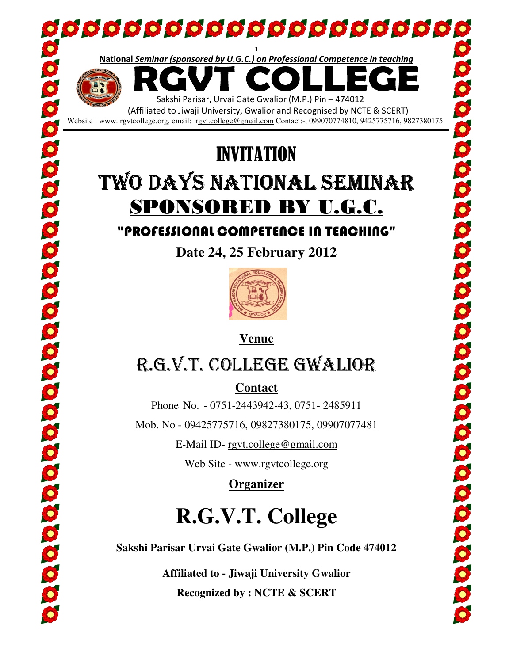

Website : www. rgvtcollege.org, email: rgvt.college@gmail.com Contact:-, 099070774810, 9425775716, 9827380175

## TWO DAYS NATIONAL SEMINAR SPONSORED BY U.G.C. INVITATION

### "PROFESSIONAL COMPETENCE IN TEACHING" "PROFESSIONAL

**Date 24, 25 February 2012** 



**Venue**

## R.G.V.T. COLLEGE GWALIOR

**Contact** 

Phone No. - 0751-2443942-43, 0751- 2485911

Mob. No - 09425775716, 09827380175, 09907077481

E-Mail ID- rgvt.college@gmail.com

Web Site - www.rgvtcollege.org

**Organizer** 

# **R.G.V.T. College**

Sakshi Parisar Urvai Gate Gwalior (M.P.) Pin Code 474012<br>Affiliated to - Jiwaji University Gwalior

**Affiliated to Recognized by : NCTE & SCERT**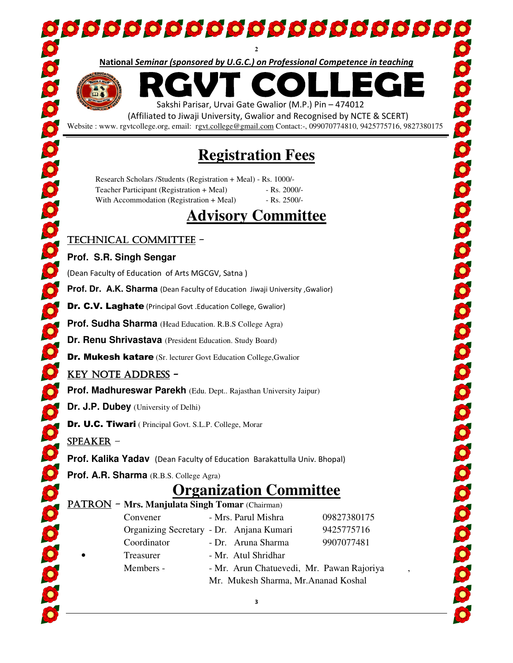National Seminar (sponsored by U.G.C.) on Professional Competence in teaching **2**



l

Sakshi Parisar, Urvai Gate Gwalior (M.P.) Pin – 474012

(Affiliated to Jiwaji University, Gwalior and Recognised by NCTE & SCERT) Website : www. rgvtcollege.org, email: rgvt.college@gmail.com Contact:-, 099070774810, 9425775716, 9827380175

## **Registration Fees Registration**

Research Scholars / Students (Registration + Meal) - Rs. 1000/-Teacher Participant (Registration + Meal) With Accommodation (Registration + Meal) - Rs. 2000/-- Rs. 2500/-

### **Advisory Committee**

#### TECHNICAL COMMITTEE -

#### **Prof. S.R. Singh Sengar**

(Dean Faculty of Education of Arts MGCGV, Satna)

Prof. Dr. A.K. Sharma (Dean Faculty of Education Jiwaji University , Gwalior)

Dr. C.V. Laghate (Principal Govt .Education College, Gwalior)

**Prof. Sudha Sharma** (Head Education. R.B.S College Agra)

**Dr. Renu Shrivastava** (President Education. Study Board)

Dr. Mukesh katare (Sr. lecturer Govt Education College, Gwalior

#### KEY NOTE ADDRESS-

**Prof. Madhureswar Parekh** (Edu. Dept.. Rajasthan University Jaipur)

**Dr. J.P. Dubey** (University of Delhi)

Dr. U.C. Tiwari ( Principal Govt. S.L.P. College, Morar

SPEAKER–

**Prof. Kalika Yadav** (Dean Faculty of Education Barakattulla Univ. Bhopal)

**Prof. A.R. Sharma** (R.B.S. College Agra)

## **Organization Committee Organization**

#### PATRON - Mrs. Manjulata Singh Tomar (Chairman)

| Convener                                 | - Mrs. Parul Mishra                  |  | 09827380175                               |  |
|------------------------------------------|--------------------------------------|--|-------------------------------------------|--|
| Organizing Secretary - Dr. Anjana Kumari |                                      |  | 9425775716                                |  |
| Coordinator                              | - Dr. Aruna Sharma                   |  | 9907077481                                |  |
| Treasurer                                | - Mr. Atul Shridhar                  |  |                                           |  |
| Members -                                |                                      |  | - Mr. Arun Chatuevedi, Mr. Pawan Rajoriya |  |
|                                          | Mr. Mukesh Sharma, Mr. Ananad Koshal |  |                                           |  |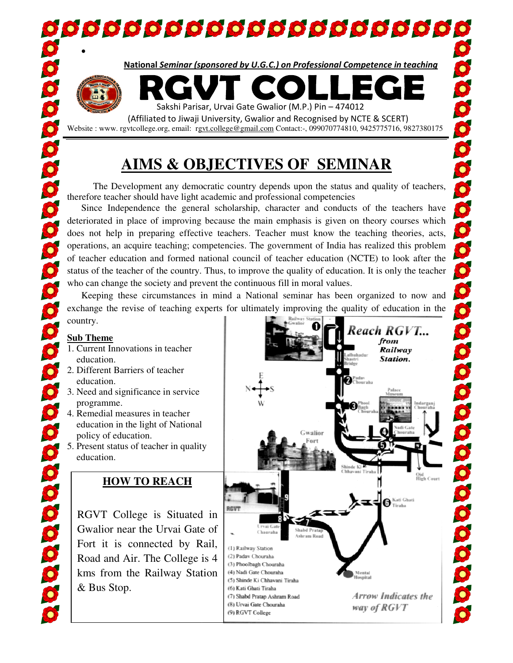00000000000000000000000

National Seminar (sponsored by U.G.C.) on Professional Competence in teaching



 (Affiliated to Jiwaji University, Gwalior and Recognised by NCTE & SCERT) & Website : www. rgvtcollege.org, email: rgvt.college@gmail.com Contact:-, 099070774810, 9425775716

## **AIMS & OBJECTIVES OF SEMINAR &**

 The Development any democratic country depends upon the status and quality of teachers, therefore teacher should have light academic and professional competencies

 Since Independence the general scholarship, character and conducts of the teachers have deteriorated in place of improving because the main emphasis is given on theory courses which does not help in preparing effective teachers. Teacher must know the teaching theories, acts, operations, an acquire teaching; competencies. The government of India has realized this problem of teacher education and formed national council of teacher education (NCTE) to look after the status of the teacher of the country. Thus, to improve the quality of education. It is only the teacher who can change the society and prevent the continuous fill in moral values. ore teacher should have light academic and professional competencies<br>nce Independence the general scholarship, character and conducts of the teachers have<br>orated in place of improving because the main emphasis is given on The Development any democratic country depends upon the status and quality of te<br>re teacher should have light academic and professional competencies<br>cce Independence the general scholarship, character and conducts of the t

 Keeping these circumstances in mind a National seminar has been organized to now and exchange the revise of teaching experts for ultimately improving the quality of education in the country.

#### **Sub Theme**

0000000000000000000000000000000

•

5

- 1. Current Innovations in teacher education.
- 2. Different Barriers of teacher education.
- 3. Need and significance in service programme.
- 4. Remedial measures in teacher education in the light of National policy of education.
- 5. Present status of teacher in quality education.

#### **HOW TO REACH**

RGVT College is Situated in Gwalior near the Urvai Gate of Fort it is connected by Rail, Road and Air. The College is 4 kms from the Railway Station & Bus Stop.